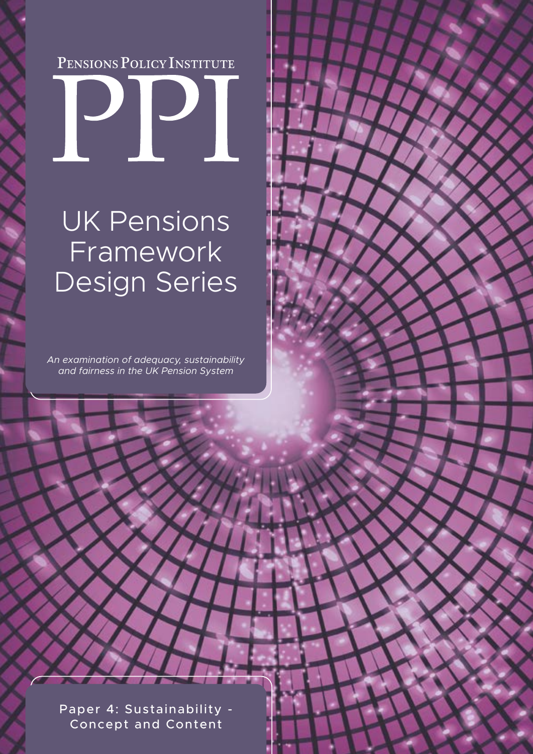# PENSIONS POLICY INSTITUTE



## UK Pensions Framework Design Series

*An examination of adequacy, sustainability and fairness in the UK Pension System* 

Paper 4: Sustainability - Concept and Content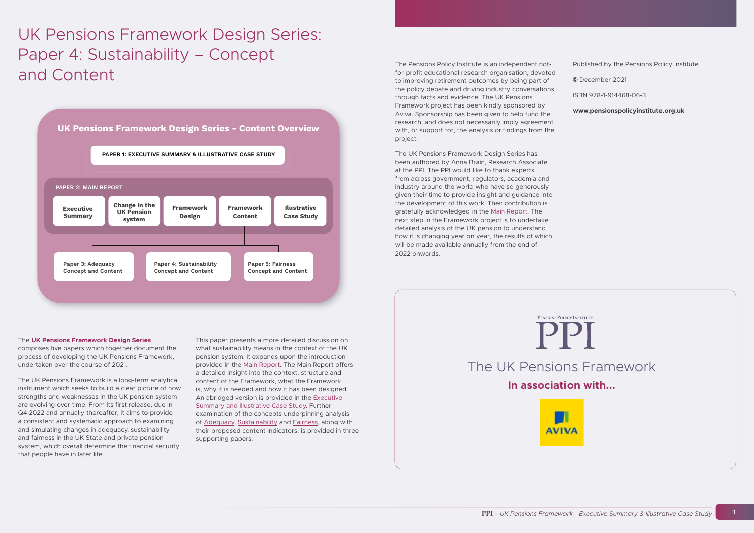UK Pensions Framework Design Series: Paper 4: Sustainability – Concept and Content



comprises five papers which together document the process of developing the UK Pensions Framework, undertaken over the course of 2021.

The UK Pensions Framework is a long-term analytical instrument which seeks to build a clear picture of how strengths and weaknesses in the UK pension system are evolving over time. From its first release, due in Q4 2022 and annually thereafter, it aims to provide a consistent and systematic approach to examining and simulating changes in adequacy, sustainability and fairness in the UK State and private pension system, which overall determine the financial security that people have in later life.

This paper presents a more detailed discussion on what sustainability means in the context of the UK pension system. It expands upon the introduction provided in the [Main Report](https://www.pensionspolicyinstitute.org.uk/sponsor-research/research-reports/2021/2021-12-14-the-uk-pensions-framework-paper-2/). The Main Report offers a detailed insight into the context, structure and content of the Framework, what the Framework is, why it is needed and how it has been designed. An abridged version is provided in the [Executive](https://www.pensionspolicyinstitute.org.uk/sponsor-research/research-reports/2021/2021-12-14-the-uk-pensions-framework-paper-1/)  [Summary and Illustrative Case Study.](https://www.pensionspolicyinstitute.org.uk/sponsor-research/research-reports/2021/2021-12-14-the-uk-pensions-framework-paper-1/) Further examination of the concepts underpinning analysis of [Adequacy,](https://www.pensionspolicyinstitute.org.uk/sponsor-research/research-reports/2021/2021-12-14-the-uk-pensions-framework-paper-3/) [Sustainability](https://www.pensionspolicyinstitute.org.uk/sponsor-research/research-reports/2021/2021-12-14-the-uk-pensions-framework-paper-4/) and [Fairness,](https://www.pensionspolicyinstitute.org.uk/sponsor-research/research-reports/2021/2021-12-14-the-uk-pensions-framework-paper-5/) along with their proposed content indicators, is provided in three supporting papers.

The Pensions Policy Institute is an independent notfor-profit educational research organisation, devoted to improving retirement outcomes by being part of the policy debate and driving industry conversations through facts and evidence. The UK Pensions Framework project has been kindly sponsored by Aviva. Sponsorship has been given to help fund the research, and does not necessarily imply agreement with, or support for, the analysis or findings from the project.

The UK Pensions Framework Design Series has been authored by Anna Brain, Research Associate at the PPI. The PPI would like to thank experts from across government, regulators, academia and industry around the world who have so generously given their time to provide insight and guidance into the development of this work. Their contribution is gratefully acknowledged in the [Main Report.](https://www.pensionspolicyinstitute.org.uk/sponsor-research/research-reports/2021/2021-12-14-the-uk-pensions-framework-paper-2/) The next step in the Framework project is to undertake detailed analysis of the UK pension to understand how it is changing year on year, the results of which will be made available annually from the end of 2022 onwards.

Published by the Pensions Policy Institute

**©** December 2021

ISBN 978-1-914468-06-3

**www.pensionspolicyinstitute.org.uk**

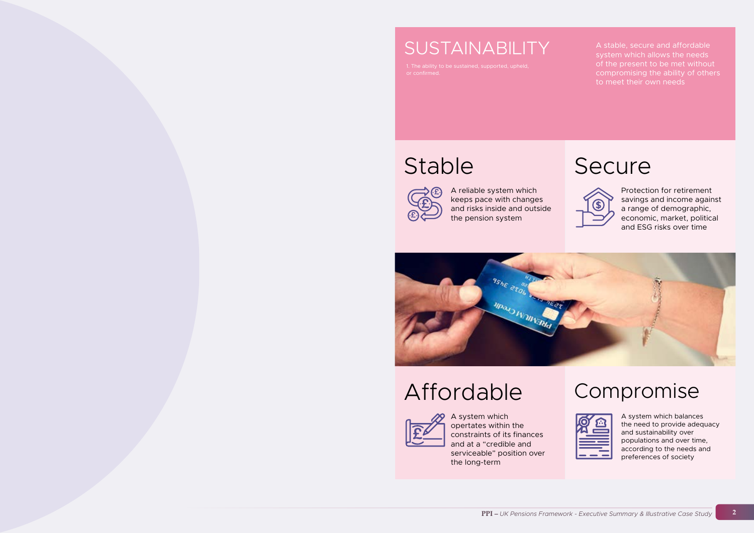## SUSTAINABILITY

## Stable

# Affordable

## Secure



## Compromise



A stable, secure and affordable system which allows the needs of the present to be met without compromising the ability of others to meet their own needs

A reliable system which keeps pace with changes and risks inside and outside the pension system



A system which opertates within the constraints of its finances and at a "credible and serviceable" position over the long-term

Protection for retirement savings and income against a range of demographic, economic, market, political and ESG risks over time

A system which balances the need to provide adequacy and sustainability over populations and over time, according to the needs and preferences of society



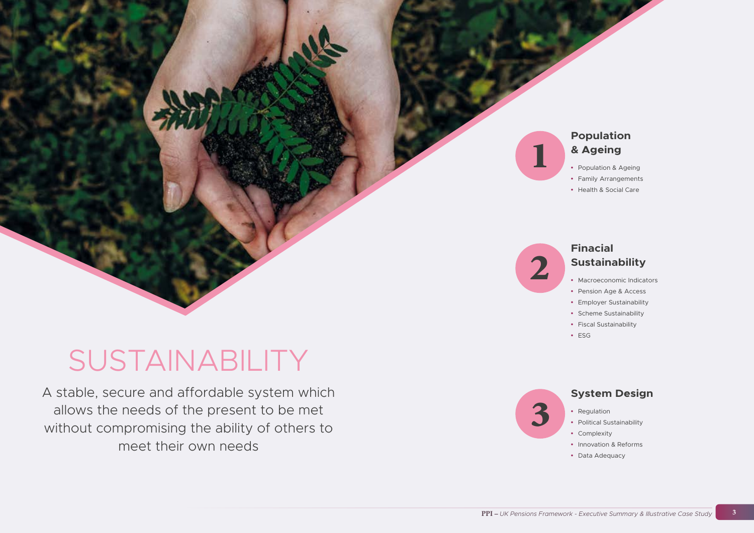# SUSTAINABILITY

A stable, secure and affordable system which allows the needs of the present to be met without compromising the ability of others to meet their own needs

1

2

3

### **Population & Ageing**

- **•** Population & Ageing
- **•** Family Arrangements
- **•** Health & Social Care

### **Finacial Sustainability**

- **•** Macroeconomic Indicators
- **•** Pension Age & Access
- **•** Employer Sustainability
- **•** Scheme Sustainability
- **•** Fiscal Sustainability
- **•** ESG

### **System Design**

- **•** Regulation
- **•** Political Sustainability
- **•** Complexity
- **•** Innovation & Reforms
- **•** Data Adequacy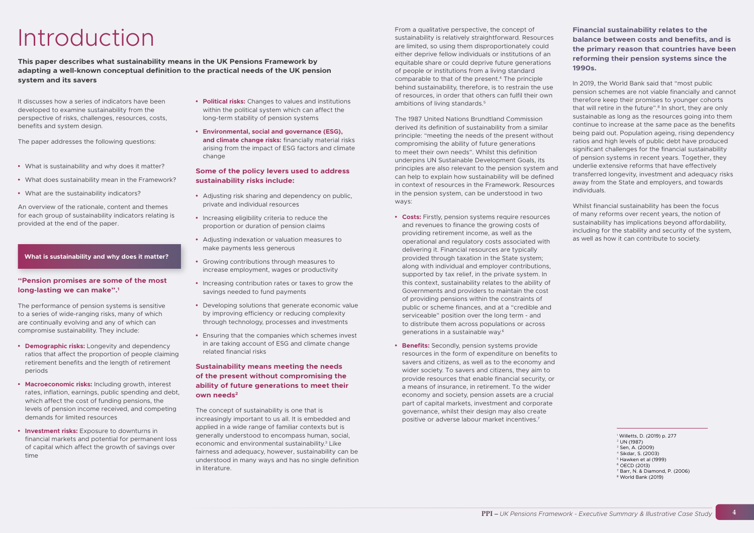# Introduction

**This paper describes what sustainability means in the UK Pensions Framework by adapting a well-known conceptual definition to the practical needs of the UK pension system and its savers** 

It discusses how a series of indicators have been developed to examine sustainability from the perspective of risks, challenges, resources, costs, benefits and system design.

The paper addresses the following questions:

- **•** What is sustainability and why does it matter?
- **•** What does sustainability mean in the Framework?
- **•** What are the sustainability indicators?

An overview of the rationale, content and themes for each group of sustainability indicators relating is provided at the end of the paper.

#### **What is sustainability and why does it matter?**

#### **"Pension promises are some of the most long-lasting we can make".1**

The performance of pension systems is sensitive to a series of wide-ranging risks, many of which are continually evolving and any of which can compromise sustainability. They include:

- **• Demographic risks:** Longevity and dependency ratios that affect the proportion of people claiming retirement benefits and the length of retirement periods
- **• Macroeconomic risks:** Including growth, interest rates, inflation, earnings, public spending and debt, which affect the cost of funding pensions, the levels of pension income received, and competing demands for limited resources
- **• Investment risks:** Exposure to downturns in financial markets and potential for permanent loss of capital which affect the growth of savings over time

From a qualitative perspective, the concept of sustainability is relatively straightforward. Resources are limited, so using them disproportionately could either deprive fellow individuals or institutions of an equitable share or could deprive future generations of people or institutions from a living standard comparable to that of the present.4 The principle behind sustainability, therefore, is to restrain the use of resources, in order that others can fulfil their own ambitions of living standards.<sup>5</sup>

- **• Political risks:** Changes to values and institutions within the political system which can affect the long-term stability of pension systems
- **• Environmental, social and governance (ESG), and climate change risks:** financially material risks arising from the impact of ESG factors and climate change

#### **Some of the policy levers used to address sustainability risks include:**

- **•** Adjusting risk sharing and dependency on public, private and individual resources
- **•** Increasing eligibility criteria to reduce the proportion or duration of pension claims
- **•** Adjusting indexation or valuation measures to make payments less generous
- **•** Growing contributions through measures to increase employment, wages or productivity
- **•** Increasing contribution rates or taxes to grow the savings needed to fund payments
- **•** Developing solutions that generate economic value by improving efficiency or reducing complexity through technology, processes and investments
- **•** Ensuring that the companies which schemes invest in are taking account of ESG and climate change related financial risks

### **Sustainability means meeting the needs of the present without compromising the ability of future generations to meet their own needs2**

The concept of sustainability is one that is increasingly important to us all. It is embedded and applied in a wide range of familiar contexts but is generally understood to encompass human, social, economic and environmental sustainability.<sup>3</sup> Like fairness and adequacy, however, sustainability can be understood in many ways and has no single definition in literature.

The 1987 United Nations Brundtland Commission derived its definition of sustainability from a similar principle: "meeting the needs of the present without compromising the ability of future generations to meet their own needs". Whilst this definition underpins UN Sustainable Development Goals, its principles are also relevant to the pension system and can help to explain how sustainability will be defined in context of resources in the Framework. Resources in the pension system, can be understood in two ways:

- **• Costs:** Firstly, pension systems require resources and revenues to finance the growing costs of providing retirement income, as well as the operational and regulatory costs associated with delivering it. Financial resources are typically provided through taxation in the State system; along with individual and employer contributions, supported by tax relief, in the private system. In this context, sustainability relates to the ability of Governments and providers to maintain the cost of providing pensions within the constraints of public or scheme finances, and at a "credible and serviceable" position over the long term - and to distribute them across populations or across generations in a sustainable way.6
- **• Benefits:** Secondly, pension systems provide resources in the form of expenditure on benefits to savers and citizens, as well as to the economy and wider society. To savers and citizens, they aim to provide resources that enable financial security, or a means of insurance, in retirement. To the wider economy and society, pension assets are a crucial part of capital markets, investment and corporate governance, whilst their design may also create positive or adverse labour market incentives.7

**Financial sustainability relates to the balance between costs and benefits, and is the primary reason that countries have been reforming their pension systems since the 1990s.**

In 2019, the World Bank said that "most public pension schemes are not viable financially and cannot therefore keep their promises to younger cohorts that will retire in the future".<sup>8</sup> In short, they are only sustainable as long as the resources going into them continue to increase at the same pace as the benefits being paid out. Population ageing, rising dependency ratios and high levels of public debt have produced significant challenges for the financial sustainability of pension systems in recent years. Together, they underlie extensive reforms that have effectively transferred longevity, investment and adequacy risks away from the State and employers, and towards individuals.

Whilst financial sustainability has been the focus of many reforms over recent years, the notion of sustainability has implications beyond affordability, including for the stability and security of the system, as well as how it can contribute to society.

- 5 Hawken et al (1999)
- 6 OECD (2013)
- 7 Barr, N. & Diamond, P. (2006)
- 8 World Bank (2019)

<sup>1</sup> Willetts, D. (2019) p. 277

<sup>2</sup> UN (1987)

 $3$  Sen, A. (2009)

<sup>4</sup> Sikdar, S. (2003)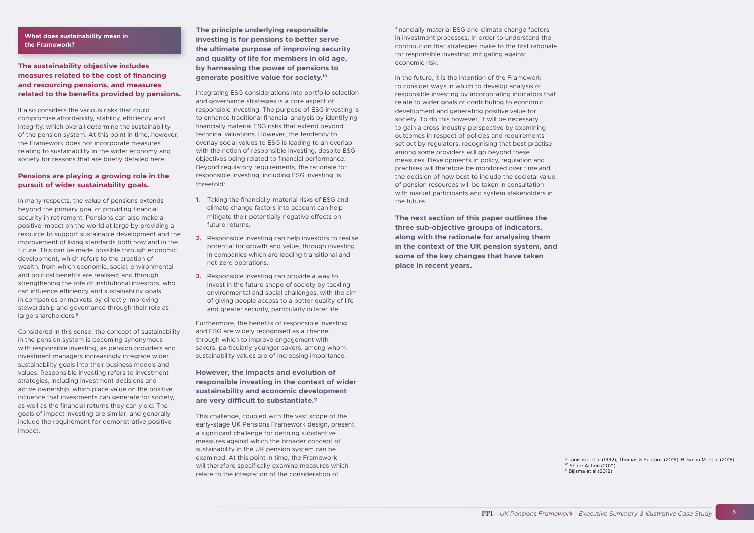#### **What does sustainability mean in the Framework?**

#### **The sustainability objective includes measures related to the cost of financing and resourcing pensions, and measures related to the benefits provided by pensions.**

In many respects, the value of pensions extends beyond the primary goal of providing financial security in retirement. Pensions can also make a positive impact on the world at large by providing a resource to support sustainable development and the improvement of living standards both now and in the future. This can be made possible through economic development, which refers to the creation of wealth, from which economic, social, environmental and political benefits are realised; and through strengthening the role of institutional investors, who can influence efficiency and sustainability goals in companies or markets by directly improving stewardship and governance through their role as large shareholders.<sup>9</sup>

It also considers the various risks that could compromise affordability, stability, efficiency and integrity, which overall determine the sustainability of the pension system. At this point in time, however, the Framework does not incorporate measures relating to sustainability in the wider economy and society for reasons that are briefly detailed here.

#### **Pensions are playing a growing role in the pursuit of wider sustainability goals.**

Considered in this sense, the concept of sustainability in the pension system is becoming synonymous with responsible investing, as pension providers and investment managers increasingly integrate wider sustainability goals into their business models and values. Responsible investing refers to investment strategies, including investment decisions and active ownership, which place value on the positive influence that investments can generate for society, as well as the financial returns they can yield. The goals of impact investing are similar, and generally include the requirement for demonstrative positive impact.

**The principle underlying responsible investing is for pensions to better serve the ultimate purpose of improving security and quality of life for members in old age, by harnessing the power of pensions to generate positive value for society.10**

Integrating ESG considerations into portfolio selection and governance strategies is a core aspect of responsible investing. The purpose of ESG investing is to enhance traditional financial analysis by identifying financially material ESG risks that extend beyond technical valuations. However, the tendency to overlay social values to ESG is leading to an overlap with the notion of responsible investing, despite ESG objectives being related to financial performance. Beyond regulatory requirements, the rationale for responsible investing, including ESG investing, is threefold:

> 9 Lanishok et al (1992), Thomas & Spataro (2016), Bijlsman M. et al (2018) 10 Share Action (2021)  $11$  Bijlsma et al (2018)

- **1.** Taking the financially-material risks of ESG and climate change factors into account can help mitigate their potentially negative effects on future returns.
- **2.** Responsible investing can help investors to realise potential for growth and value, through investing in companies which are leading transitional and net-zero operations.
- **3.** Responsible investing can provide a way to invest in the future shape of society by tackling environmental and social challenges, with the aim of giving people access to a better quality of life and greater security, particularly in later life.

Furthermore, the benefits of responsible investing and ESG are widely recognised as a channel through which to improve engagement with savers, particularly younger savers, among whom sustainability values are of increasing importance.

### **However, the impacts and evolution of responsible investing in the context of wider sustainability and economic development are very difficult to substantiate.11**

This challenge, coupled with the vast scope of the early-stage UK Pensions Framework design, present a significant challenge for defining substantive measures against which the broader concept of sustainability in the UK pension system can be examined. At this point in time, the Framework will therefore specifically examine measures which relate to the integration of the consideration of

financially material ESG and climate change factors in investment processes, in order to understand the contribution that strategies make to the first rationale for responsible investing: mitigating against economic risk.

In the future, it is the intention of the Framework to consider ways in which to develop analysis of responsible investing by incorporating indicators that relate to wider goals of contributing to economic development and generating positive value for society. To do this however, it will be necessary to gain a cross-industry perspective by examining outcomes in respect of policies and requirements set out by regulators, recognising that best practise among some providers will go beyond these measures. Developments in policy, regulation and practises will therefore be monitored over time and the decision of how best to include the societal value of pension resources will be taken in consultation with market participants and system stakeholders in the future.

**The next section of this paper outlines the three sub-objective groups of indicators, along with the rationale for analysing them in the context of the UK pension system, and some of the key changes that have taken place in recent years.**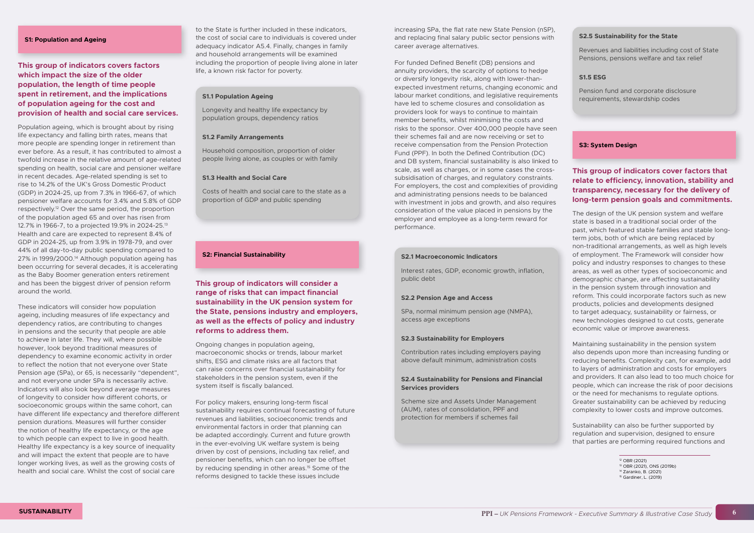#### **S1: Population and Ageing**

**This group of indicators covers factors which impact the size of the older population, the length of time people spent in retirement, and the implications of population ageing for the cost and provision of health and social care services.** 

Population ageing, which is brought about by rising life expectancy and falling birth rates, means that more people are spending longer in retirement than ever before. As a result, it has contributed to almost a twofold increase in the relative amount of age-related spending on health, social care and pensioner welfare in recent decades. Age-related spending is set to rise to 14.2% of the UK's Gross Domestic Product (GDP) in 2024-25, up from 7.3% in 1966-67, of which pensioner welfare accounts for 3.4% and 5.8% of GDP respectively.12 Over the same period, the proportion of the population aged 65 and over has risen from 12.7% in 1966-7, to a projected 19.9% in 2024-25.13 Health and care are expected to represent 8.4% of GDP in 2024-25, up from 3.9% in 1978-79, and over 44% of all day-to-day public spending compared to 27% in 1999/2000.14 Although population ageing has been occurring for several decades, it is accelerating as the Baby Boomer generation enters retirement and has been the biggest driver of pension reform around the world.

These indicators will consider how population ageing, including measures of life expectancy and dependency ratios, are contributing to changes in pensions and the security that people are able to achieve in later life. They will, where possible however, look beyond traditional measures of dependency to examine economic activity in order to reflect the notion that not everyone over State Pension age (SPa), or 65, is necessarily "dependent", and not everyone under SPa is necessarily active. Indicators will also look beyond average measures of longevity to consider how different cohorts, or socioeconomic groups within the same cohort, can have different life expectancy and therefore different pension durations. Measures will further consider the notion of healthy life expectancy, or the age to which people can expect to live in good health. Healthy life expectancy is a key source of inequality and will impact the extent that people are to have longer working lives, as well as the growing costs of health and social care. Whilst the cost of social care

to the State is further included in these indicators, the cost of social care to individuals is covered under adequacy indicator A5.4. Finally, changes in family and household arrangements will be examined including the proportion of people living alone in later life, a known risk factor for poverty.

#### **S1.1 Population Ageing**

Longevity and healthy life expectancy by population groups, dependency ratios

#### **S1.2 Family Arrangements**

Household composition, proportion of older people living alone, as couples or with family

#### **S1.3 Health and Social Care**

Costs of health and social care to the state as a proportion of GDP and public spending

#### **S2: Financial Sustainability**

**This group of indicators will consider a range of risks that can impact financial sustainability in the UK pension system for the State, pensions industry and employers, as well as the effects of policy and industry reforms to address them.** 

Ongoing changes in population ageing, macroeconomic shocks or trends, labour market shifts, ESG and climate risks are all factors that can raise concerns over financial sustainability for stakeholders in the pension system, even if the system itself is fiscally balanced.

For policy makers, ensuring long-term fiscal sustainability requires continual forecasting of future revenues and liabilities, socioeconomic trends and environmental factors in order that planning can be adapted accordingly. Current and future growth in the ever-evolving UK welfare system is being driven by cost of pensions, including tax relief, and pensioner benefits, which can no longer be offset by reducing spending in other areas.15 Some of the reforms designed to tackle these issues include

increasing SPa, the flat rate new State Pension (nSP), and replacing final salary public sector pensions with career average alternatives.

For funded Defined Benefit (DB) pensions and annuity providers, the scarcity of options to hedge or diversify longevity risk, along with lower-thanexpected investment returns, changing economic and labour market conditions, and legislative requirements have led to scheme closures and consolidation as providers look for ways to continue to maintain member benefits, whilst minimising the costs and risks to the sponsor. Over 400,000 people have seen their schemes fail and are now receiving or set to receive compensation from the Pension Protection Fund (PPF). In both the Defined Contribution (DC) and DB system, financial sustainability is also linked to scale, as well as charges, or in some cases the crosssubsidisation of charges, and regulatory constraints. For employers, the cost and complexities of providing and administrating pensions needs to be balanced with investment in jobs and growth, and also requires consideration of the value placed in pensions by the employer and employee as a long-term reward for performance.

#### **S2.1 Macroeconomic Indicators**

Interest rates, GDP, economic growth, inflation, public debt

#### **S2.2 Pension Age and Access**

SPa, normal minimum pension age (NMPA), access age exceptions

#### **S2.3 Sustainability for Employers**

Contribution rates including employers paying above default minimum, administration costs

#### **S2.4 Sustainability for Pensions and Financial Services providers**

Scheme size and Assets Under Management (AUM), rates of consolidation, PPF and protection for members if schemes fail

#### **S3: System Design**

### **This group of indicators cover factors that relate to efficiency, innovation, stability and transparency, necessary for the delivery of long-term pension goals and commitments.**

The design of the UK pension system and welfare state is based in a traditional social order of the past, which featured stable families and stable longterm jobs, both of which are being replaced by non-traditional arrangements, as well as high levels of employment. The Framework will consider how policy and industry responses to changes to these areas, as well as other types of socioeconomic and demographic change, are affecting sustainability in the pension system through innovation and reform. This could incorporate factors such as new products, policies and developments designed to target adequacy, sustainability or fairness, or new technologies designed to cut costs, generate economic value or improve awareness.

Maintaining sustainability in the pension system also depends upon more than increasing funding or reducing benefits. Complexity can, for example, add to layers of administration and costs for employers and providers. It can also lead to too much choice for people, which can increase the risk of poor decisions or the need for mechanisms to regulate options. Greater sustainability can be achieved by reducing complexity to lower costs and improve outcomes.

Sustainability can also be further supported by regulation and supervision, designed to ensure that parties are performing required functions and

#### **S2.5 Sustainability for the State**

Revenues and liabilities including cost of State Pensions, pensions welfare and tax relief

#### **S1.5 ESG**

Pension fund and corporate disclosure requirements, stewardship codes

> 12 OBR (2021) 13 OBR (2021), ONS (2019b) 14 Zaranko, B. (2021) 15 Gardiner, L. (2019)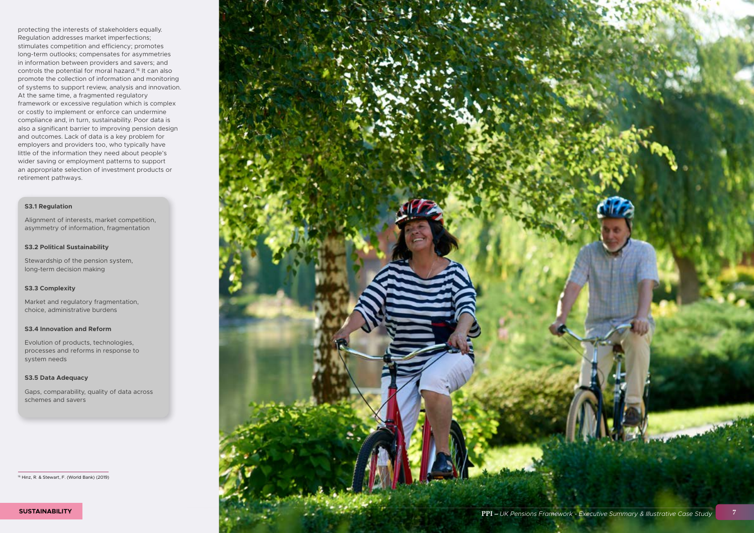

protecting the interests of stakeholders equally. Regulation addresses market imperfections; stimulates competition and efficiency; promotes long-term outlooks; compensates for asymmetries in information between providers and savers; and controls the potential for moral hazard.16 It can also promote the collection of information and monitoring of systems to support review, analysis and innovation. At the same time, a fragmented regulatory framework or excessive regulation which is complex or costly to implement or enforce can undermine compliance and, in turn, sustainability. Poor data is also a significant barrier to improving pension design and outcomes. Lack of data is a key problem for employers and providers too, who typically have little of the information they need about people's wider saving or employment patterns to support an appropriate selection of investment products or retirement pathways.

#### **S3.1 Regulation**

Alignment of interests, market competition, asymmetry of information, fragmentation

#### **S3.2 Political Sustainability**

Stewardship of the pension system, long-term decision making

#### **S3.3 Complexity**

Market and regulatory fragmentation, choice, administrative burdens

#### **S3.4 Innovation and Reform**

Evolution of products, technologies, processes and reforms in response to system needs

#### **S3.5 Data Adequacy**

Gaps, comparability, quality of data across schemes and savers

16 Hinz, R. & Stewart, F. (World Bank) (2019)



**7**